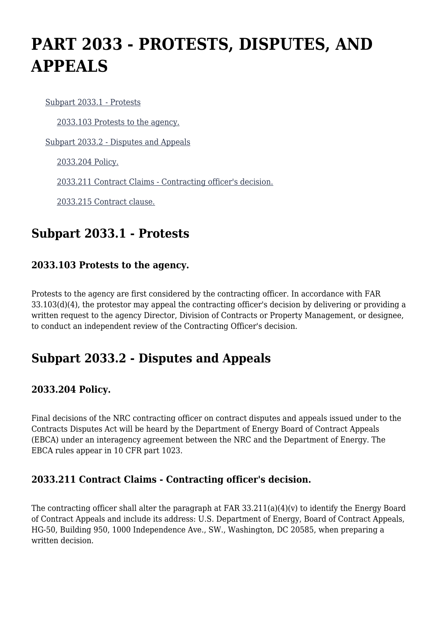# **PART 2033 - PROTESTS, DISPUTES, AND APPEALS**

[Subpart 2033.1 - Protests](https://origin-www.acquisition.gov/%5Brp:link:nrcar-part-2033%5D#Subpart_2033_1_T48_60635211)

[2033.103 Protests to the agency.](https://origin-www.acquisition.gov/%5Brp:link:nrcar-part-2033%5D#Section_2033_103_T48_6063521111)

[Subpart 2033.2 - Disputes and Appeals](https://origin-www.acquisition.gov/%5Brp:link:nrcar-part-2033%5D#Subpart_2033_2_T48_60635212)

[2033.204 Policy.](https://origin-www.acquisition.gov/%5Brp:link:nrcar-part-2033%5D#Section_2033_204_T48_6063521211)

[2033.211 Contract Claims - Contracting officer's decision.](https://origin-www.acquisition.gov/%5Brp:link:nrcar-part-2033%5D#Section_2033_211_T48_6063521212)

[2033.215 Contract clause.](https://origin-www.acquisition.gov/%5Brp:link:nrcar-part-2033%5D#Section_2033_215_T48_6063521213)

## **Subpart 2033.1 - Protests**

#### **2033.103 Protests to the agency.**

Protests to the agency are first considered by the contracting officer. In accordance with FAR 33.103(d)(4), the protestor may appeal the contracting officer's decision by delivering or providing a written request to the agency Director, Division of Contracts or Property Management, or designee, to conduct an independent review of the Contracting Officer's decision.

## **Subpart 2033.2 - Disputes and Appeals**

### **2033.204 Policy.**

Final decisions of the NRC contracting officer on contract disputes and appeals issued under to the Contracts Disputes Act will be heard by the Department of Energy Board of Contract Appeals (EBCA) under an interagency agreement between the NRC and the Department of Energy. The EBCA rules appear in 10 CFR part 1023.

### **2033.211 Contract Claims - Contracting officer's decision.**

The contracting officer shall alter the paragraph at FAR 33.211(a)(4)(v) to identify the Energy Board of Contract Appeals and include its address: U.S. Department of Energy, Board of Contract Appeals, HG-50, Building 950, 1000 Independence Ave., SW., Washington, DC 20585, when preparing a written decision.